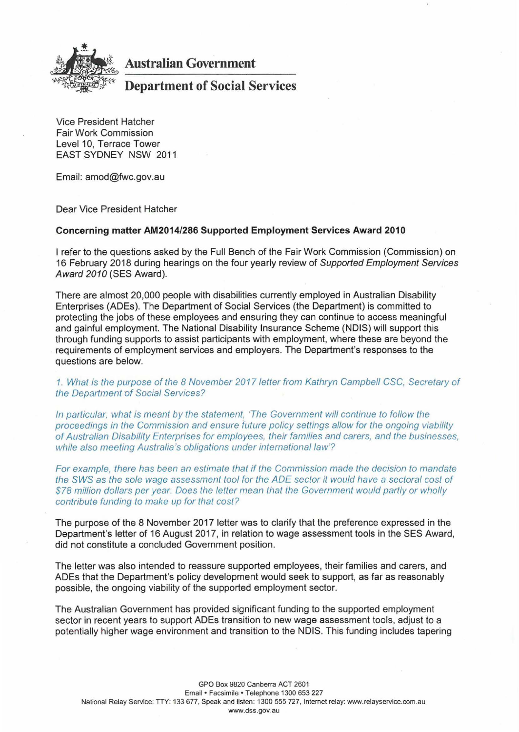

## **Australian Government**

## **Department of Social Services**

Vice President Hatcher Fair Work Commission Level 10, Terrace Tower EAST SYDNEY NSW 2011

Email: amod@fwc.gov.au

Dear Vice President Hatcher

## **Concerning matter AM2014/286 Supported Employment Services Award 2010**

I refer to the questions asked by the Full Bench of the Fair Work Commission (Commission) on 16 February 2018 during hearings on the four yearly review of Supported Employment Services Award 2010 (SES Award).

There are almost 20,000 people with disabilities currently employed in Australian Disability Enterprises (ADEs). The Department of Social Services (the Department) is committed to protecting the jobs of these employees and ensuring they can continue to access meaningful and gainful employment. The National Disability Insurance Scheme (NDIS) will support this through funding supports to assist participants with employment, where these are beyond the requirements of employment services and employers. The Department's responses to the questions are below.

1. What is the purpose of the 8 November 2017 letter from Kathryn Campbell CSC, Secretary of the Department of Social Services?

In particular, what is meant by the statement, 'The Government will continue to follow the proceedings in the Commission and ensure future policy settings allow for the ongoing viability of Australian Disability Enterprises for employees, their families and carers, and the businesses, while also meeting Australia's obligations under international law'?

For example, there has been an estimate that if the Commission made the decision to mandate the SWS as the sole wage assessment tool for the ADE sector it would have a sectoral cost of \$78 million dollars per year. Does the letter mean that the Government would partly or wholly contribute funding to make up for that cost?

The purpose of the 8 November 2017 letter was to clarify that the preference expressed in the Department's letter of 16 August 2017, in relation to wage assessment tools in the SES Award, did not constitute a concluded Government position.

The letter was also intended to reassure supported employees, their families and carers, and ADEs that the Department's policy development would seek to support, as far as reasonably possible, the ongoing viability of the supported employment sector.

The Australian Government has provided significant funding to the supported employment sector in recent years to support ADEs transition to new wage assessment tools, adjust to a potentially higher wage environment and transition to the NDIS. This funding includes tapering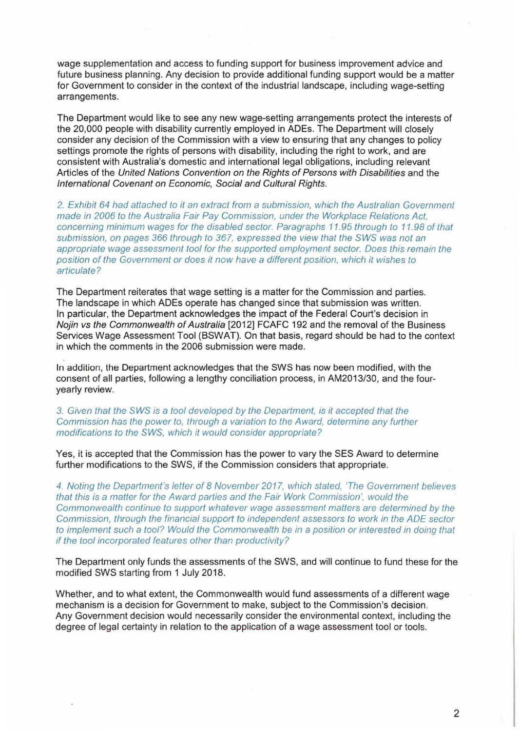wage supplementation and access to funding support for business improvement advice and future business planning. Any decision to provide additional funding support would be a matter for Government to consider in the context of the industrial landscape, including wage-setting arrangements.

The Department would like to see any new wage-setting arrangements protect the interests of the 20,000 people with disability currently employed in ADEs. The Department will closely consider any decision of the Commission with a view to ensuring that any changes to policy settings promote the rights of persons with disability, including the right to work, and are consistent with Australia's domestic and international legal obligations, including relevant Articles of the United Nations Convention on the Rights of Persons with Disabilities and the International Covenant on Economic, Social and Cultural Rights.

2. Exhibit 64 had attached to it an extract from a submission, which the Australian Government made in 2006 to the Australia Fair Pay Commission, under the Workplace Relations Act, concerning minimum wages for the disabled sector. Paragraphs 11.95 through to 11. 98 of that submission, on pages 366 through to 367, expressed the view that the SWS was not an appropriate wage assessment tool for the supported employment sector. Does this remain the position of the Government or does it now have a different position, which it wishes to articulate?

The Department reiterates that wage setting is a matter for the Commission and parties. The landscape in which ADEs operate has changed since that submission was written. In particular, the Department acknowledges the impact of the Federal Court's decision in Nojin vs the Commonwealth of Australia [2012] FCAFC 192 and the removal of the Business Services Wage Assessment Tool (BSWAT). On that basis, regard should be had to the context in which the comments in the 2006 submission were made.

In addition, the Department acknowledges that the SWS has now been modified, with the consent of all parties, following a lengthy conciliation process, in AM2013/30, and the fouryearly review.

3. Given that the SWS is a tool developed by the Department, is it accepted that the Commission has the power to, through a variation to the Award, determine any further modifications to the SWS, which it would consider appropriate?

Yes, it is accepted that the Commission has the power to vary the SES Award to determine further modifications to the SWS, if the Commission considers that appropriate.

4. Noting the Department's letter of 8 November 2017, which stated, 'The Government believes that this is a matter for the Award parties and the Fair Work Commission', would the Commonwealth continue to support whatever wage assessment matters are determined by the Commission, through the financial support to independent assessors to work in the ADE sector to implement such a tool? Would the Commonwealth be in a position or interested in doing that if the tool incorporated features other than productivity?

The Department only funds the assessments of the SWS, and will continue to fund these for the modified SWS starting from 1 July 2018.

Whether, and to what extent, the Commonwealth would fund assessments of a different wage mechanism is a decision for Government to make, subject to the Commission's decision. Any Government decision would necessarily consider the environmental context, including the degree of legal certainty in relation to the application of a wage assessment tool or tools.